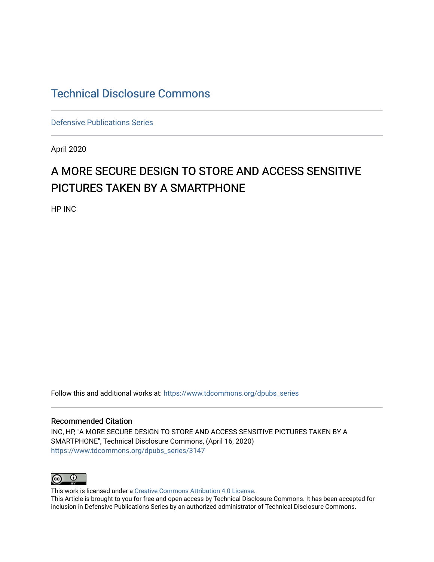# [Technical Disclosure Commons](https://www.tdcommons.org/)

[Defensive Publications Series](https://www.tdcommons.org/dpubs_series)

April 2020

# A MORE SECURE DESIGN TO STORE AND ACCESS SENSITIVE PICTURES TAKEN BY A SMARTPHONE

HP INC

Follow this and additional works at: [https://www.tdcommons.org/dpubs\\_series](https://www.tdcommons.org/dpubs_series?utm_source=www.tdcommons.org%2Fdpubs_series%2F3147&utm_medium=PDF&utm_campaign=PDFCoverPages) 

#### Recommended Citation

INC, HP, "A MORE SECURE DESIGN TO STORE AND ACCESS SENSITIVE PICTURES TAKEN BY A SMARTPHONE", Technical Disclosure Commons, (April 16, 2020) [https://www.tdcommons.org/dpubs\\_series/3147](https://www.tdcommons.org/dpubs_series/3147?utm_source=www.tdcommons.org%2Fdpubs_series%2F3147&utm_medium=PDF&utm_campaign=PDFCoverPages)



This work is licensed under a [Creative Commons Attribution 4.0 License](http://creativecommons.org/licenses/by/4.0/deed.en_US). This Article is brought to you for free and open access by Technical Disclosure Commons. It has been accepted for inclusion in Defensive Publications Series by an authorized administrator of Technical Disclosure Commons.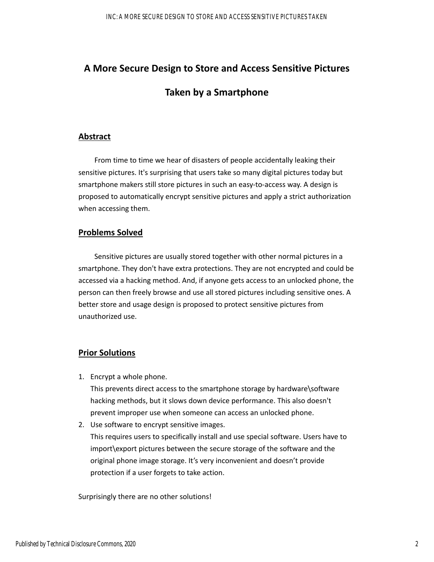# **A More Secure Design to Store and Access Sensitive Pictures**

## **Taken by a Smartphone**

#### **Abstract**

From time to time we hear of disasters of people accidentally leaking their sensitive pictures. It's surprising that users take so many digital pictures today but smartphone makers still store pictures in such an easy‐to‐access way. A design is proposed to automatically encrypt sensitive pictures and apply a strict authorization when accessing them.

#### **Problems Solved**

Sensitive pictures are usually stored together with other normal pictures in a smartphone. They don't have extra protections. They are not encrypted and could be accessed via a hacking method. And, if anyone gets access to an unlocked phone, the person can then freely browse and use all stored pictures including sensitive ones. A better store and usage design is proposed to protect sensitive pictures from unauthorized use.

### **Prior Solutions**

1. Encrypt a whole phone.

This prevents direct access to the smartphone storage by hardware\software hacking methods, but it slows down device performance. This also doesn't prevent improper use when someone can access an unlocked phone.

2. Use software to encrypt sensitive images.

This requires users to specifically install and use special software. Users have to import\export pictures between the secure storage of the software and the original phone image storage. It's very inconvenient and doesn't provide protection if a user forgets to take action.

Surprisingly there are no other solutions!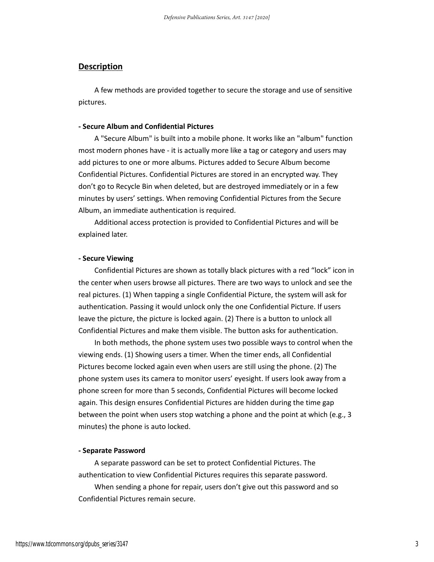#### **Description**

A few methods are provided together to secure the storage and use of sensitive pictures.

#### **‐ Secure Album and Confidential Pictures**

A "Secure Album" is built into a mobile phone. It works like an "album" function most modern phones have ‐ it is actually more like a tag or category and users may add pictures to one or more albums. Pictures added to Secure Album become Confidential Pictures. Confidential Pictures are stored in an encrypted way. They don't go to Recycle Bin when deleted, but are destroyed immediately or in a few minutes by users' settings. When removing Confidential Pictures from the Secure Album, an immediate authentication is required.

Additional access protection is provided to Confidential Pictures and will be explained later.

#### **‐ Secure Viewing**

 Confidential Pictures are shown as totally black pictures with a red "lock" icon in the center when users browse all pictures. There are two ways to unlock and see the real pictures. (1) When tapping a single Confidential Picture, the system will ask for authentication. Passing it would unlock only the one Confidential Picture. If users leave the picture, the picture is locked again. (2) There is a button to unlock all Confidential Pictures and make them visible. The button asks for authentication.

 In both methods, the phone system uses two possible ways to control when the viewing ends. (1) Showing users a timer. When the timer ends, all Confidential Pictures become locked again even when users are still using the phone. (2) The phone system uses its camera to monitor users' eyesight. If users look away from a phone screen for more than 5 seconds, Confidential Pictures will become locked again. This design ensures Confidential Pictures are hidden during the time gap between the point when users stop watching a phone and the point at which (e.g., 3 minutes) the phone is auto locked.

#### **‐ Separate Password**

A separate password can be set to protect Confidential Pictures. The authentication to view Confidential Pictures requires this separate password.

 When sending a phone for repair, users don't give out this password and so Confidential Pictures remain secure.